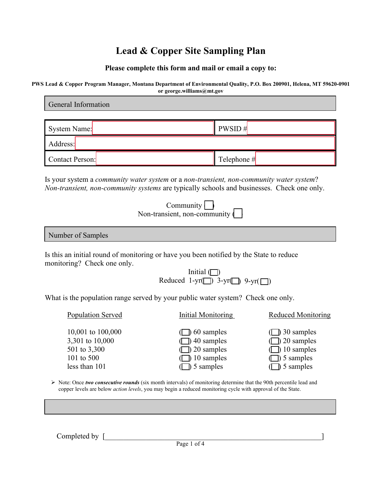#### **Please complete this form and mail or email a copy to:**

| PWS Lead & Copper Program Manager, Montana Department of Environmental Quality, P.O. Box 200901, Helena, MT 59620-0901 |  |  |
|------------------------------------------------------------------------------------------------------------------------|--|--|
| or george.williams@mt.gov                                                                                              |  |  |

| General Information                                                                                                                                                                                                                                      |               |  |  |  |
|----------------------------------------------------------------------------------------------------------------------------------------------------------------------------------------------------------------------------------------------------------|---------------|--|--|--|
| System Name:                                                                                                                                                                                                                                             | PWSID#        |  |  |  |
| Address:                                                                                                                                                                                                                                                 |               |  |  |  |
| Contact Person:                                                                                                                                                                                                                                          | Telephone $#$ |  |  |  |
| Is your system a <i>community water system</i> or a <i>non-transient</i> , <i>non-community water system?</i><br>Non-transient, non-community systems are typically schools and businesses. Check one only.<br>Community<br>Non-transient, non-community |               |  |  |  |
| Number of Samples                                                                                                                                                                                                                                        |               |  |  |  |

Is this an initial round of monitoring or have you been notified by the State to reduce monitoring? Check one only.

|                                                      | Initial $\Box$ |  |
|------------------------------------------------------|----------------|--|
| Reduced 1-yr( $\Box$ ) 3-yr( $\Box$ ) 9-yr( $\Box$ ) |                |  |

What is the population range served by your public water system? Check one only.

Population Served Initial Monitoring Reduced Monitoring

10,001 to 100,000  $\Box$  60 samples  $\Box$  30 samples 3,301 to 10,000  $\Box$ ) 40 samples  $\Box$ ) 20 samples 501 to 3,300 ( ) 20 samples ( ) 10 samples 101 to 500  $\Box$  10 samples  $\Box$  5 samples less than 101 ( ) 5 samples ( ) 5 samples ( ) 5 samples

 Note: Once *two consecutive rounds* (six month intervals) of monitoring determine that the 90th percentile lead and copper levels are below *action levels*, you may begin a reduced monitoring cycle with approval of the State.

Completed by [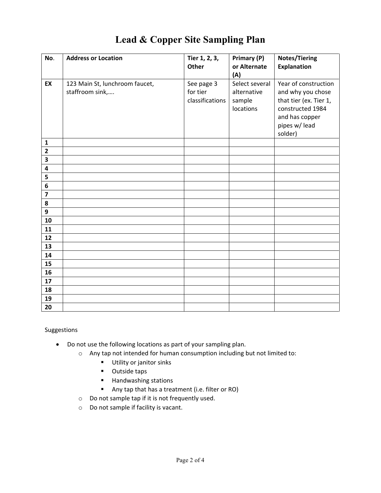| No.                     | <b>Address or Location</b>     | Tier 1, 2, 3,   | Primary (P)    | <b>Notes/Tiering</b>   |
|-------------------------|--------------------------------|-----------------|----------------|------------------------|
|                         |                                | Other           | or Alternate   | <b>Explanation</b>     |
|                         |                                |                 | (A)            |                        |
| EX                      | 123 Main St, lunchroom faucet, | See page 3      | Select several | Year of construction   |
|                         | staffroom sink,                | for tier        | alternative    | and why you chose      |
|                         |                                | classifications | sample         | that tier (ex. Tier 1, |
|                         |                                |                 | locations      | constructed 1984       |
|                         |                                |                 |                |                        |
|                         |                                |                 |                | and has copper         |
|                         |                                |                 |                | pipes w/ lead          |
|                         |                                |                 |                | solder)                |
| ${\bf 1}$               |                                |                 |                |                        |
| $\overline{\mathbf{2}}$ |                                |                 |                |                        |
| $\overline{\mathbf{3}}$ |                                |                 |                |                        |
| 4                       |                                |                 |                |                        |
| 5                       |                                |                 |                |                        |
| 6                       |                                |                 |                |                        |
| $\overline{\mathbf{z}}$ |                                |                 |                |                        |
| 8                       |                                |                 |                |                        |
| $\boldsymbol{9}$        |                                |                 |                |                        |
| 10                      |                                |                 |                |                        |
| 11                      |                                |                 |                |                        |
| 12                      |                                |                 |                |                        |
| 13                      |                                |                 |                |                        |
| 14                      |                                |                 |                |                        |
| 15                      |                                |                 |                |                        |
| 16                      |                                |                 |                |                        |
| 17                      |                                |                 |                |                        |
| 18                      |                                |                 |                |                        |
| 19                      |                                |                 |                |                        |
| 20                      |                                |                 |                |                        |

#### Suggestions

- Do not use the following locations as part of your sampling plan.
	- o Any tap not intended for human consumption including but not limited to:
		- **Utility or janitor sinks**
		- **•** Outside taps
		- Handwashing stations
		- Any tap that has a treatment (i.e. filter or RO)
	- o Do not sample tap if it is not frequently used.
	- o Do not sample if facility is vacant.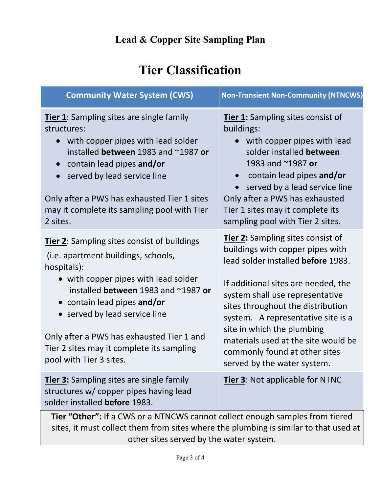# **Tier Classification**

| <b>Community Water System (CWS)</b>                                                                                                                                                                                                                                                                                                                                   | <b>Non-Transient Non-Community (NTNCWS)</b>                                                                                                                                                                                                                                                                                                                                                           |  |  |  |
|-----------------------------------------------------------------------------------------------------------------------------------------------------------------------------------------------------------------------------------------------------------------------------------------------------------------------------------------------------------------------|-------------------------------------------------------------------------------------------------------------------------------------------------------------------------------------------------------------------------------------------------------------------------------------------------------------------------------------------------------------------------------------------------------|--|--|--|
| Tier 1: Sampling sites are single family<br>structures:<br>with copper pipes with lead solder<br>installed between 1983 and ~1987 or<br>contain lead pipes and/or<br>$\bullet$<br>served by lead service line<br>Only after a PWS has exhausted Tier 1 sites<br>may it complete its sampling pool with Tier<br>2 sites.                                               | Tier 1: Sampling sites consist of<br>buildings:<br>with copper pipes with lead<br>solder installed between<br>1983 and ~1987 or<br>contain lead pipes and/or<br>$\bullet$<br>served by a lead service line<br>Only after a PWS has exhausted<br>Tier 1 sites may it complete its<br>sampling pool with Tier 2 sites.                                                                                  |  |  |  |
| Tier 2: Sampling sites consist of buildings<br>(i.e. apartment buildings, schools,<br>hospitals):<br>• with copper pipes with lead solder<br>installed between 1983 and ~1987 or<br>• contain lead pipes and/or<br>• served by lead service line<br>Only after a PWS has exhausted Tier 1 and<br>Tier 2 sites may it complete its sampling<br>pool with Tier 3 sites. | Tier 2: Sampling sites consist of<br>buildings with copper pipes with<br>lead solder installed before 1983.<br>If additional sites are needed, the<br>system shall use representative<br>sites throughout the distribution<br>system. A representative site is a<br>site in which the plumbing<br>materials used at the site would be<br>commonly found at other sites<br>served by the water system. |  |  |  |
| <b>Tier 3:</b> Sampling sites are single family<br>structures w/ copper pipes having lead<br>solder installed before 1983.                                                                                                                                                                                                                                            | Tier 3: Not applicable for NTNC                                                                                                                                                                                                                                                                                                                                                                       |  |  |  |
| Tier "Other": If a CWS or a NTNCWS cannot collect enough samples from tiered                                                                                                                                                                                                                                                                                          |                                                                                                                                                                                                                                                                                                                                                                                                       |  |  |  |

sites, it must collect them from sites where the plumbing is similar to that used at other sites served by the water system.